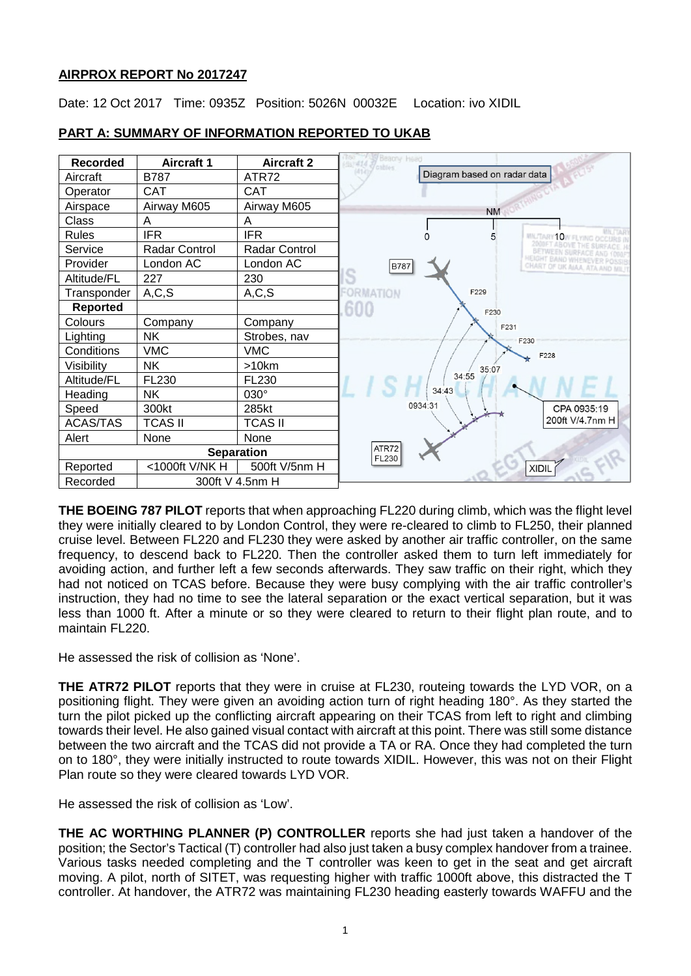## **AIRPROX REPORT No 2017247**

Date: 12 Oct 2017 Time: 0935Z Position: 5026N 00032E Location: ivo XIDIL



# **PART A: SUMMARY OF INFORMATION REPORTED TO UKAB**

**THE BOEING 787 PILOT** reports that when approaching FL220 during climb, which was the flight level they were initially cleared to by London Control, they were re-cleared to climb to FL250, their planned cruise level. Between FL220 and FL230 they were asked by another air traffic controller, on the same frequency, to descend back to FL220. Then the controller asked them to turn left immediately for avoiding action, and further left a few seconds afterwards. They saw traffic on their right, which they had not noticed on TCAS before. Because they were busy complying with the air traffic controller's instruction, they had no time to see the lateral separation or the exact vertical separation, but it was less than 1000 ft. After a minute or so they were cleared to return to their flight plan route, and to maintain FL220.

He assessed the risk of collision as 'None'.

**THE ATR72 PILOT** reports that they were in cruise at FL230, routeing towards the LYD VOR, on a positioning flight. They were given an avoiding action turn of right heading 180°. As they started the turn the pilot picked up the conflicting aircraft appearing on their TCAS from left to right and climbing towards their level. He also gained visual contact with aircraft at this point. There was still some distance between the two aircraft and the TCAS did not provide a TA or RA. Once they had completed the turn on to 180°, they were initially instructed to route towards XIDIL. However, this was not on their Flight Plan route so they were cleared towards LYD VOR.

He assessed the risk of collision as 'Low'.

**THE AC WORTHING PLANNER (P) CONTROLLER** reports she had just taken a handover of the position; the Sector's Tactical (T) controller had also just taken a busy complex handover from a trainee. Various tasks needed completing and the T controller was keen to get in the seat and get aircraft moving. A pilot, north of SITET, was requesting higher with traffic 1000ft above, this distracted the T controller. At handover, the ATR72 was maintaining FL230 heading easterly towards WAFFU and the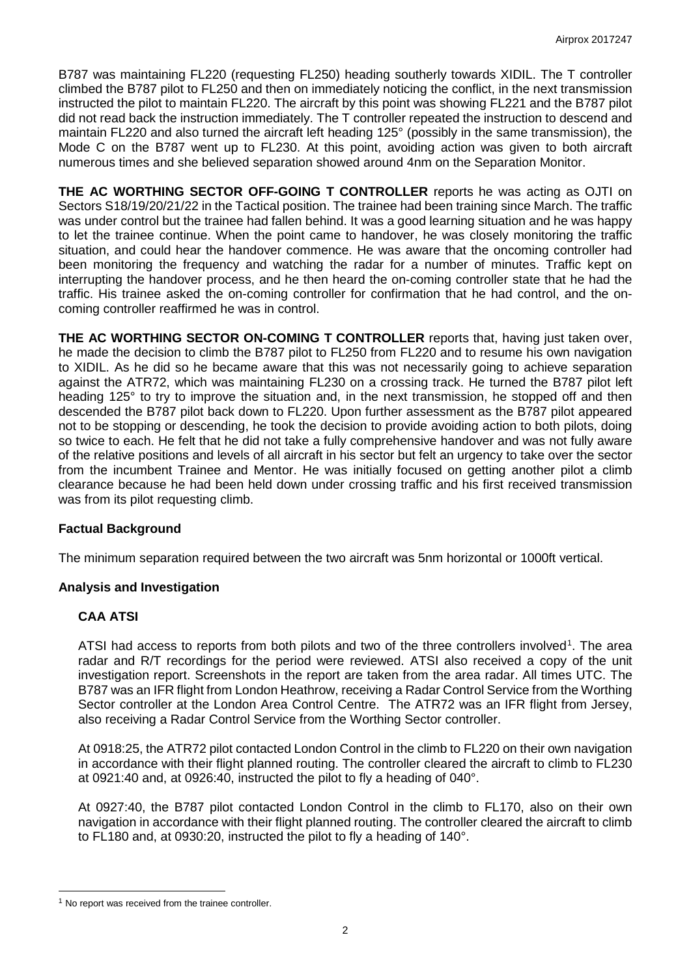B787 was maintaining FL220 (requesting FL250) heading southerly towards XIDIL. The T controller climbed the B787 pilot to FL250 and then on immediately noticing the conflict, in the next transmission instructed the pilot to maintain FL220. The aircraft by this point was showing FL221 and the B787 pilot did not read back the instruction immediately. The T controller repeated the instruction to descend and maintain FL220 and also turned the aircraft left heading 125° (possibly in the same transmission), the Mode C on the B787 went up to FL230. At this point, avoiding action was given to both aircraft numerous times and she believed separation showed around 4nm on the Separation Monitor.

**THE AC WORTHING SECTOR OFF-GOING T CONTROLLER** reports he was acting as OJTI on Sectors S18/19/20/21/22 in the Tactical position. The trainee had been training since March. The traffic was under control but the trainee had fallen behind. It was a good learning situation and he was happy to let the trainee continue. When the point came to handover, he was closely monitoring the traffic situation, and could hear the handover commence. He was aware that the oncoming controller had been monitoring the frequency and watching the radar for a number of minutes. Traffic kept on interrupting the handover process, and he then heard the on-coming controller state that he had the traffic. His trainee asked the on-coming controller for confirmation that he had control, and the oncoming controller reaffirmed he was in control.

**THE AC WORTHING SECTOR ON-COMING T CONTROLLER** reports that, having just taken over, he made the decision to climb the B787 pilot to FL250 from FL220 and to resume his own navigation to XIDIL. As he did so he became aware that this was not necessarily going to achieve separation against the ATR72, which was maintaining FL230 on a crossing track. He turned the B787 pilot left heading 125° to try to improve the situation and, in the next transmission, he stopped off and then descended the B787 pilot back down to FL220. Upon further assessment as the B787 pilot appeared not to be stopping or descending, he took the decision to provide avoiding action to both pilots, doing so twice to each. He felt that he did not take a fully comprehensive handover and was not fully aware of the relative positions and levels of all aircraft in his sector but felt an urgency to take over the sector from the incumbent Trainee and Mentor. He was initially focused on getting another pilot a climb clearance because he had been held down under crossing traffic and his first received transmission was from its pilot requesting climb.

## **Factual Background**

The minimum separation required between the two aircraft was 5nm horizontal or 1000ft vertical.

## **Analysis and Investigation**

## **CAA ATSI**

 $\overline{\phantom{a}}$ 

ATSI had access to reports from both pilots and two of the three controllers involved<sup>[1](#page-1-0)</sup>. The area radar and R/T recordings for the period were reviewed. ATSI also received a copy of the unit investigation report. Screenshots in the report are taken from the area radar. All times UTC. The B787 was an IFR flight from London Heathrow, receiving a Radar Control Service from the Worthing Sector controller at the London Area Control Centre. The ATR72 was an IFR flight from Jersey, also receiving a Radar Control Service from the Worthing Sector controller.

At 0918:25, the ATR72 pilot contacted London Control in the climb to FL220 on their own navigation in accordance with their flight planned routing. The controller cleared the aircraft to climb to FL230 at 0921:40 and, at 0926:40, instructed the pilot to fly a heading of 040°.

At 0927:40, the B787 pilot contacted London Control in the climb to FL170, also on their own navigation in accordance with their flight planned routing. The controller cleared the aircraft to climb to FL180 and, at 0930:20, instructed the pilot to fly a heading of 140°.

<span id="page-1-0"></span><sup>&</sup>lt;sup>1</sup> No report was received from the trainee controller.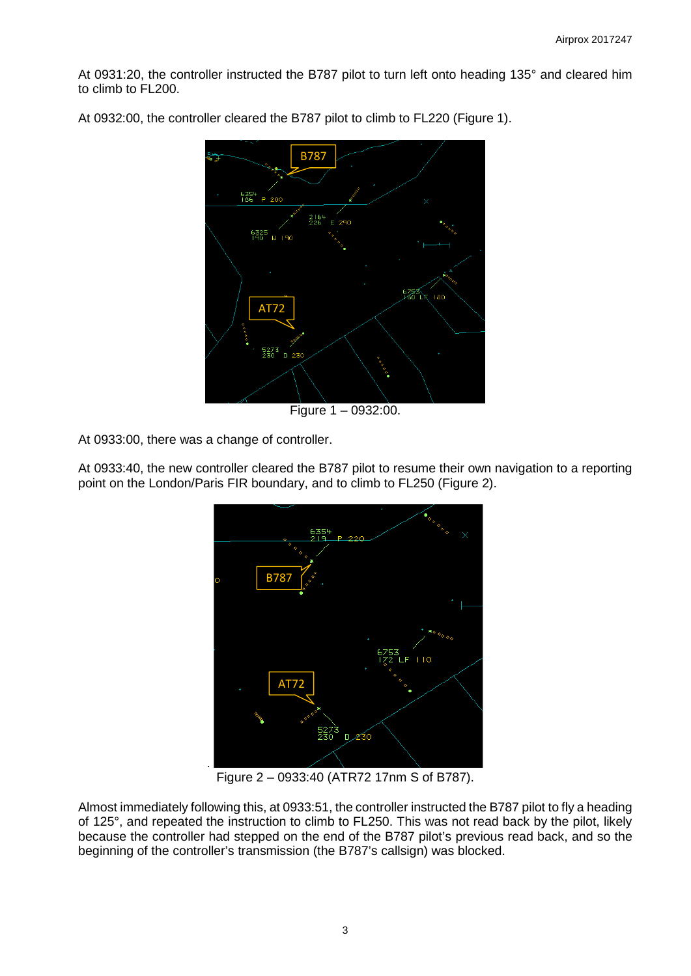At 0931:20, the controller instructed the B787 pilot to turn left onto heading 135° and cleared him to climb to FL200.



At 0932:00, the controller cleared the B787 pilot to climb to FL220 (Figure 1).

Figure 1 – 0932:00.

At 0933:00, there was a change of controller.

At 0933:40, the new controller cleared the B787 pilot to resume their own navigation to a reporting point on the London/Paris FIR boundary, and to climb to FL250 (Figure 2).



Figure 2 – 0933:40 (ATR72 17nm S of B787).

Almost immediately following this, at 0933:51, the controller instructed the B787 pilot to fly a heading of 125°, and repeated the instruction to climb to FL250. This was not read back by the pilot, likely because the controller had stepped on the end of the B787 pilot's previous read back, and so the beginning of the controller's transmission (the B787's callsign) was blocked.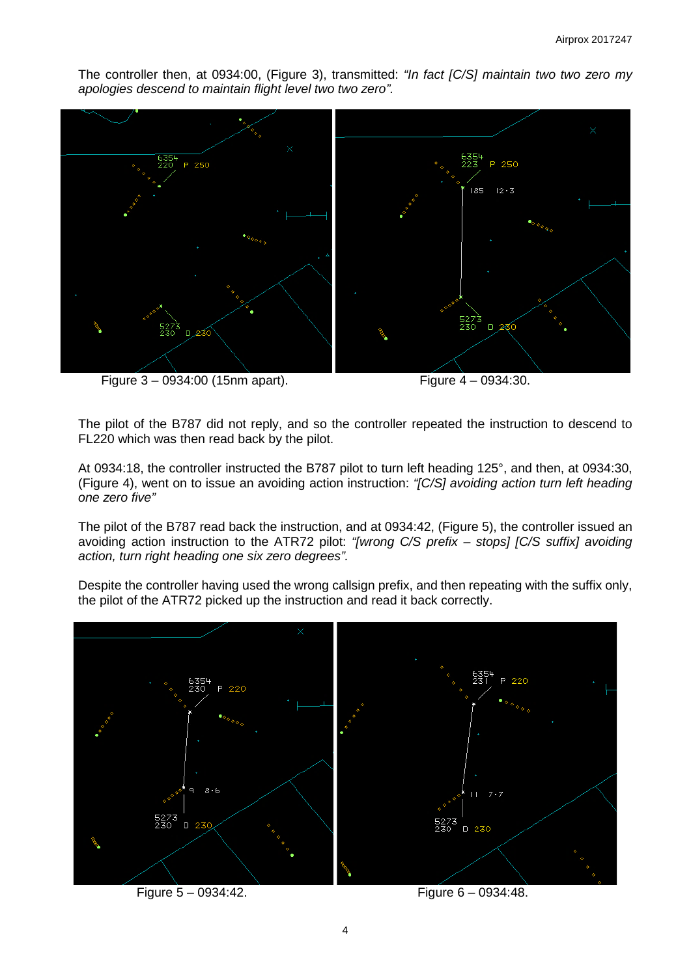The controller then, at 0934:00, (Figure 3), transmitted: *"In fact [C/S] maintain two two zero my apologies descend to maintain flight level two two zero".*



Figure 3 – 0934:00 (15nm apart). Figure 4 – 0934:30.

The pilot of the B787 did not reply, and so the controller repeated the instruction to descend to FL220 which was then read back by the pilot.

At 0934:18, the controller instructed the B787 pilot to turn left heading 125°, and then, at 0934:30, (Figure 4), went on to issue an avoiding action instruction: *"[C/S] avoiding action turn left heading one zero five"*

The pilot of the B787 read back the instruction, and at 0934:42, (Figure 5), the controller issued an avoiding action instruction to the ATR72 pilot: *"[wrong C/S prefix – stops] [C/S suffix] avoiding action, turn right heading one six zero degrees".*

Despite the controller having used the wrong callsign prefix, and then repeating with the suffix only, the pilot of the ATR72 picked up the instruction and read it back correctly.

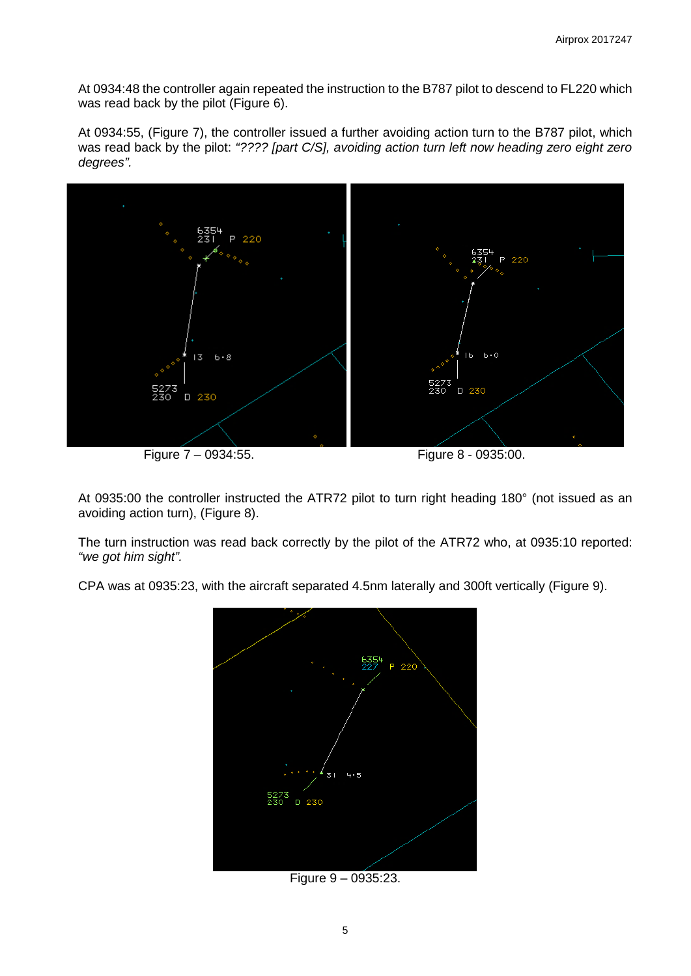At 0934:48 the controller again repeated the instruction to the B787 pilot to descend to FL220 which was read back by the pilot (Figure 6).

At 0934:55, (Figure 7), the controller issued a further avoiding action turn to the B787 pilot, which was read back by the pilot: *"???? [part C/S], avoiding action turn left now heading zero eight zero degrees".*



At 0935:00 the controller instructed the ATR72 pilot to turn right heading 180° (not issued as an avoiding action turn), (Figure 8).

The turn instruction was read back correctly by the pilot of the ATR72 who, at 0935:10 reported: *"we got him sight".*

CPA was at 0935:23, with the aircraft separated 4.5nm laterally and 300ft vertically (Figure 9).



Figure 9 – 0935:23.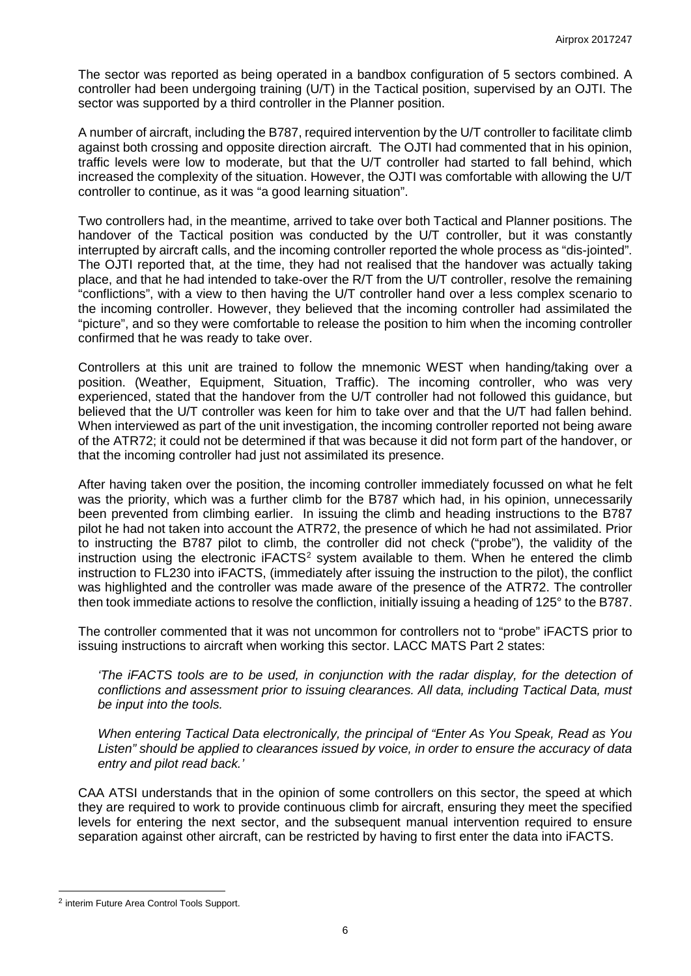The sector was reported as being operated in a bandbox configuration of 5 sectors combined. A controller had been undergoing training (U/T) in the Tactical position, supervised by an OJTI. The sector was supported by a third controller in the Planner position.

A number of aircraft, including the B787, required intervention by the U/T controller to facilitate climb against both crossing and opposite direction aircraft. The OJTI had commented that in his opinion, traffic levels were low to moderate, but that the U/T controller had started to fall behind, which increased the complexity of the situation. However, the OJTI was comfortable with allowing the U/T controller to continue, as it was "a good learning situation".

Two controllers had, in the meantime, arrived to take over both Tactical and Planner positions. The handover of the Tactical position was conducted by the U/T controller, but it was constantly interrupted by aircraft calls, and the incoming controller reported the whole process as "dis-jointed". The OJTI reported that, at the time, they had not realised that the handover was actually taking place, and that he had intended to take-over the R/T from the U/T controller, resolve the remaining "conflictions", with a view to then having the U/T controller hand over a less complex scenario to the incoming controller. However, they believed that the incoming controller had assimilated the "picture", and so they were comfortable to release the position to him when the incoming controller confirmed that he was ready to take over.

Controllers at this unit are trained to follow the mnemonic WEST when handing/taking over a position. (Weather, Equipment, Situation, Traffic). The incoming controller, who was very experienced, stated that the handover from the U/T controller had not followed this guidance, but believed that the U/T controller was keen for him to take over and that the U/T had fallen behind. When interviewed as part of the unit investigation, the incoming controller reported not being aware of the ATR72; it could not be determined if that was because it did not form part of the handover, or that the incoming controller had just not assimilated its presence.

After having taken over the position, the incoming controller immediately focussed on what he felt was the priority, which was a further climb for the B787 which had, in his opinion, unnecessarily been prevented from climbing earlier. In issuing the climb and heading instructions to the B787 pilot he had not taken into account the ATR72, the presence of which he had not assimilated. Prior to instructing the B787 pilot to climb, the controller did not check ("probe"), the validity of the instruction using the electronic  $IFACTS<sup>2</sup>$  $IFACTS<sup>2</sup>$  $IFACTS<sup>2</sup>$  system available to them. When he entered the climb instruction to FL230 into iFACTS, (immediately after issuing the instruction to the pilot), the conflict was highlighted and the controller was made aware of the presence of the ATR72. The controller then took immediate actions to resolve the confliction, initially issuing a heading of 125° to the B787.

The controller commented that it was not uncommon for controllers not to "probe" iFACTS prior to issuing instructions to aircraft when working this sector. LACC MATS Part 2 states:

*'The iFACTS tools are to be used, in conjunction with the radar display, for the detection of conflictions and assessment prior to issuing clearances. All data, including Tactical Data, must be input into the tools.*

*When entering Tactical Data electronically, the principal of "Enter As You Speak, Read as You Listen" should be applied to clearances issued by voice, in order to ensure the accuracy of data entry and pilot read back.'*

CAA ATSI understands that in the opinion of some controllers on this sector, the speed at which they are required to work to provide continuous climb for aircraft, ensuring they meet the specified levels for entering the next sector, and the subsequent manual intervention required to ensure separation against other aircraft, can be restricted by having to first enter the data into iFACTS.

 $\overline{\phantom{a}}$ 

<span id="page-5-0"></span><sup>2</sup> interim Future Area Control Tools Support.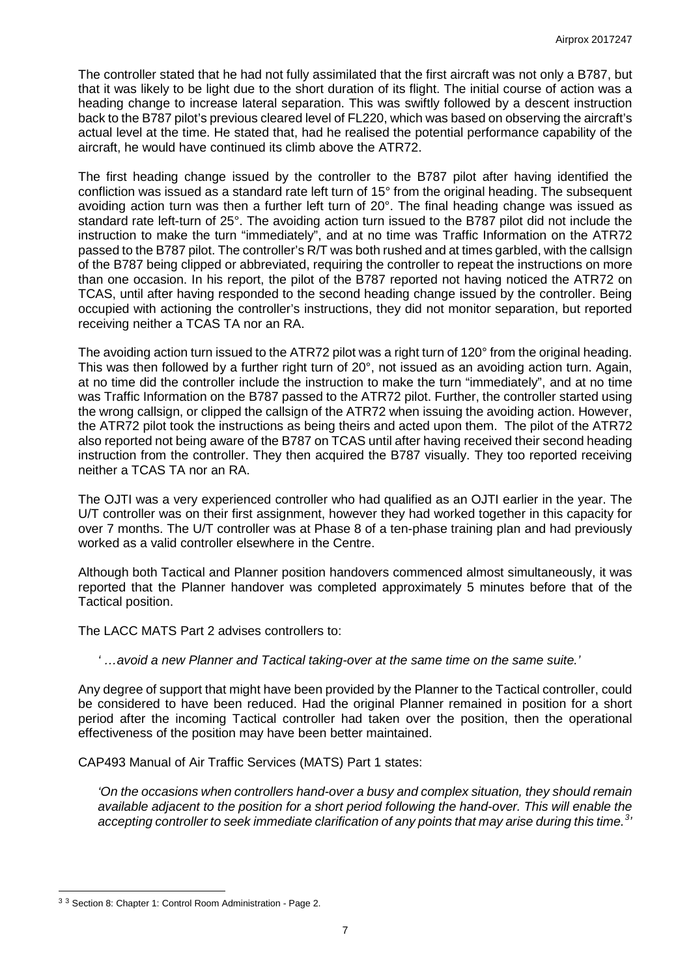The controller stated that he had not fully assimilated that the first aircraft was not only a B787, but that it was likely to be light due to the short duration of its flight. The initial course of action was a heading change to increase lateral separation. This was swiftly followed by a descent instruction back to the B787 pilot's previous cleared level of FL220, which was based on observing the aircraft's actual level at the time. He stated that, had he realised the potential performance capability of the aircraft, he would have continued its climb above the ATR72.

The first heading change issued by the controller to the B787 pilot after having identified the confliction was issued as a standard rate left turn of 15° from the original heading. The subsequent avoiding action turn was then a further left turn of 20°. The final heading change was issued as standard rate left-turn of 25°. The avoiding action turn issued to the B787 pilot did not include the instruction to make the turn "immediately", and at no time was Traffic Information on the ATR72 passed to the B787 pilot. The controller's R/T was both rushed and at times garbled, with the callsign of the B787 being clipped or abbreviated, requiring the controller to repeat the instructions on more than one occasion. In his report, the pilot of the B787 reported not having noticed the ATR72 on TCAS, until after having responded to the second heading change issued by the controller. Being occupied with actioning the controller's instructions, they did not monitor separation, but reported receiving neither a TCAS TA nor an RA.

The avoiding action turn issued to the ATR72 pilot was a right turn of 120° from the original heading. This was then followed by a further right turn of 20°, not issued as an avoiding action turn. Again, at no time did the controller include the instruction to make the turn "immediately", and at no time was Traffic Information on the B787 passed to the ATR72 pilot. Further, the controller started using the wrong callsign, or clipped the callsign of the ATR72 when issuing the avoiding action. However, the ATR72 pilot took the instructions as being theirs and acted upon them. The pilot of the ATR72 also reported not being aware of the B787 on TCAS until after having received their second heading instruction from the controller. They then acquired the B787 visually. They too reported receiving neither a TCAS TA nor an RA.

The OJTI was a very experienced controller who had qualified as an OJTI earlier in the year. The U/T controller was on their first assignment, however they had worked together in this capacity for over 7 months. The U/T controller was at Phase 8 of a ten-phase training plan and had previously worked as a valid controller elsewhere in the Centre.

Although both Tactical and Planner position handovers commenced almost simultaneously, it was reported that the Planner handover was completed approximately 5 minutes before that of the Tactical position.

The LACC MATS Part 2 advises controllers to:

*' …avoid a new Planner and Tactical taking-over at the same time on the same suite.'*

Any degree of support that might have been provided by the Planner to the Tactical controller, could be considered to have been reduced. Had the original Planner remained in position for a short period after the incoming Tactical controller had taken over the position, then the operational effectiveness of the position may have been better maintained.

CAP493 Manual of Air Traffic Services (MATS) Part 1 states:

*'On the occasions when controllers hand-over a busy and complex situation, they should remain available adjacent to the position for a short period following the hand-over. This will enable the accepting controller to seek immediate clarification of any points that may arise during this time.[3](#page-6-0) '*

 $\overline{\phantom{a}}$ 

<span id="page-6-0"></span><sup>3</sup> <sup>3</sup> Section 8: Chapter 1: Control Room Administration - Page 2.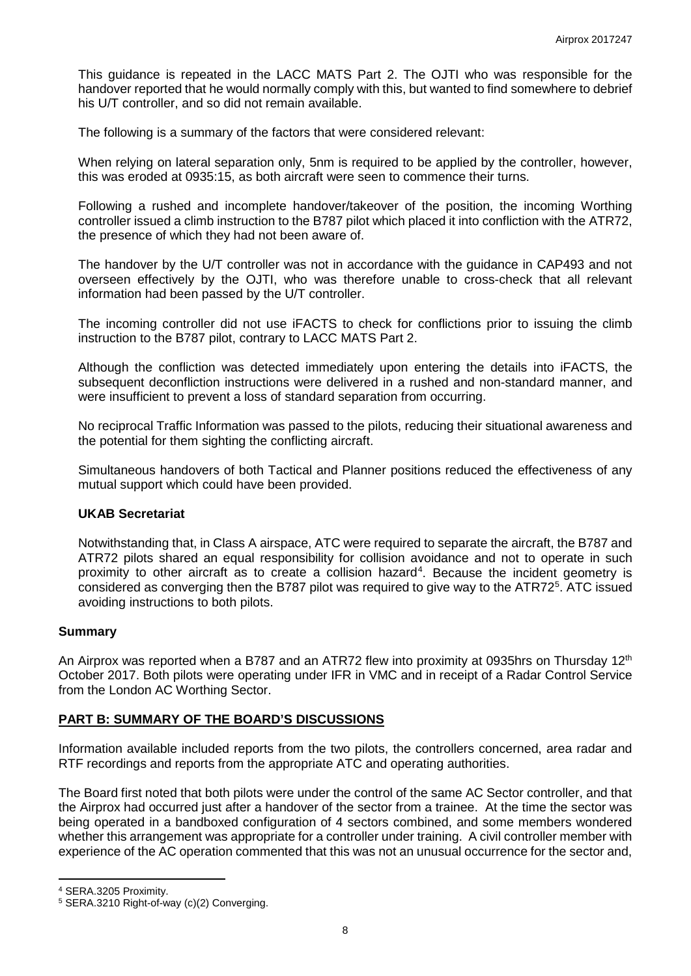This guidance is repeated in the LACC MATS Part 2. The OJTI who was responsible for the handover reported that he would normally comply with this, but wanted to find somewhere to debrief his U/T controller, and so did not remain available.

The following is a summary of the factors that were considered relevant:

When relying on lateral separation only, 5nm is required to be applied by the controller, however, this was eroded at 0935:15, as both aircraft were seen to commence their turns.

Following a rushed and incomplete handover/takeover of the position, the incoming Worthing controller issued a climb instruction to the B787 pilot which placed it into confliction with the ATR72, the presence of which they had not been aware of.

The handover by the U/T controller was not in accordance with the guidance in CAP493 and not overseen effectively by the OJTI, who was therefore unable to cross-check that all relevant information had been passed by the U/T controller.

The incoming controller did not use iFACTS to check for conflictions prior to issuing the climb instruction to the B787 pilot, contrary to LACC MATS Part 2.

Although the confliction was detected immediately upon entering the details into iFACTS, the subsequent deconfliction instructions were delivered in a rushed and non-standard manner, and were insufficient to prevent a loss of standard separation from occurring.

No reciprocal Traffic Information was passed to the pilots, reducing their situational awareness and the potential for them sighting the conflicting aircraft.

Simultaneous handovers of both Tactical and Planner positions reduced the effectiveness of any mutual support which could have been provided.

#### **UKAB Secretariat**

Notwithstanding that, in Class A airspace, ATC were required to separate the aircraft, the B787 and ATR72 pilots shared an equal responsibility for collision avoidance and not to operate in such proximity to other aircraft as to create a collision hazard<sup>[4](#page-7-0)</sup>. Because the incident geometry is considered as converging then the B787 pilot was required to give way to the ATR72<sup>[5](#page-7-1)</sup>. ATC issued avoiding instructions to both pilots.

#### **Summary**

An Airprox was reported when a B787 and an ATR72 flew into proximity at 0935hrs on Thursday 12<sup>th</sup> October 2017. Both pilots were operating under IFR in VMC and in receipt of a Radar Control Service from the London AC Worthing Sector.

#### **PART B: SUMMARY OF THE BOARD'S DISCUSSIONS**

Information available included reports from the two pilots, the controllers concerned, area radar and RTF recordings and reports from the appropriate ATC and operating authorities.

The Board first noted that both pilots were under the control of the same AC Sector controller, and that the Airprox had occurred just after a handover of the sector from a trainee. At the time the sector was being operated in a bandboxed configuration of 4 sectors combined, and some members wondered whether this arrangement was appropriate for a controller under training. A civil controller member with experience of the AC operation commented that this was not an unusual occurrence for the sector and,

l

<span id="page-7-0"></span><sup>4</sup> SERA.3205 Proximity.

<span id="page-7-1"></span><sup>5</sup> SERA.3210 Right-of-way (c)(2) Converging.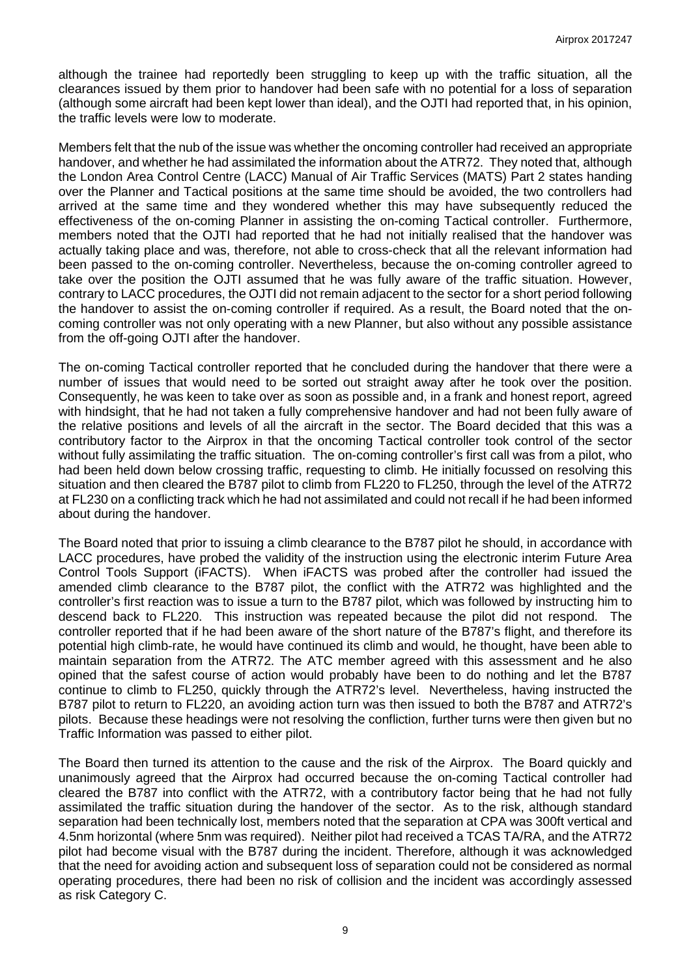although the trainee had reportedly been struggling to keep up with the traffic situation, all the clearances issued by them prior to handover had been safe with no potential for a loss of separation (although some aircraft had been kept lower than ideal), and the OJTI had reported that, in his opinion, the traffic levels were low to moderate.

Members felt that the nub of the issue was whether the oncoming controller had received an appropriate handover, and whether he had assimilated the information about the ATR72. They noted that, although the London Area Control Centre (LACC) Manual of Air Traffic Services (MATS) Part 2 states handing over the Planner and Tactical positions at the same time should be avoided, the two controllers had arrived at the same time and they wondered whether this may have subsequently reduced the effectiveness of the on-coming Planner in assisting the on-coming Tactical controller. Furthermore, members noted that the OJTI had reported that he had not initially realised that the handover was actually taking place and was, therefore, not able to cross-check that all the relevant information had been passed to the on-coming controller. Nevertheless, because the on-coming controller agreed to take over the position the OJTI assumed that he was fully aware of the traffic situation. However, contrary to LACC procedures, the OJTI did not remain adjacent to the sector for a short period following the handover to assist the on-coming controller if required. As a result, the Board noted that the oncoming controller was not only operating with a new Planner, but also without any possible assistance from the off-going OJTI after the handover.

The on-coming Tactical controller reported that he concluded during the handover that there were a number of issues that would need to be sorted out straight away after he took over the position. Consequently, he was keen to take over as soon as possible and, in a frank and honest report, agreed with hindsight, that he had not taken a fully comprehensive handover and had not been fully aware of the relative positions and levels of all the aircraft in the sector. The Board decided that this was a contributory factor to the Airprox in that the oncoming Tactical controller took control of the sector without fully assimilating the traffic situation. The on-coming controller's first call was from a pilot, who had been held down below crossing traffic, requesting to climb. He initially focussed on resolving this situation and then cleared the B787 pilot to climb from FL220 to FL250, through the level of the ATR72 at FL230 on a conflicting track which he had not assimilated and could not recall if he had been informed about during the handover.

The Board noted that prior to issuing a climb clearance to the B787 pilot he should, in accordance with LACC procedures, have probed the validity of the instruction using the electronic interim Future Area Control Tools Support (iFACTS). When iFACTS was probed after the controller had issued the amended climb clearance to the B787 pilot, the conflict with the ATR72 was highlighted and the controller's first reaction was to issue a turn to the B787 pilot, which was followed by instructing him to descend back to FL220. This instruction was repeated because the pilot did not respond. The controller reported that if he had been aware of the short nature of the B787's flight, and therefore its potential high climb-rate, he would have continued its climb and would, he thought, have been able to maintain separation from the ATR72. The ATC member agreed with this assessment and he also opined that the safest course of action would probably have been to do nothing and let the B787 continue to climb to FL250, quickly through the ATR72's level. Nevertheless, having instructed the B787 pilot to return to FL220, an avoiding action turn was then issued to both the B787 and ATR72's pilots. Because these headings were not resolving the confliction, further turns were then given but no Traffic Information was passed to either pilot.

The Board then turned its attention to the cause and the risk of the Airprox. The Board quickly and unanimously agreed that the Airprox had occurred because the on-coming Tactical controller had cleared the B787 into conflict with the ATR72, with a contributory factor being that he had not fully assimilated the traffic situation during the handover of the sector. As to the risk, although standard separation had been technically lost, members noted that the separation at CPA was 300ft vertical and 4.5nm horizontal (where 5nm was required). Neither pilot had received a TCAS TA/RA, and the ATR72 pilot had become visual with the B787 during the incident. Therefore, although it was acknowledged that the need for avoiding action and subsequent loss of separation could not be considered as normal operating procedures, there had been no risk of collision and the incident was accordingly assessed as risk Category C.